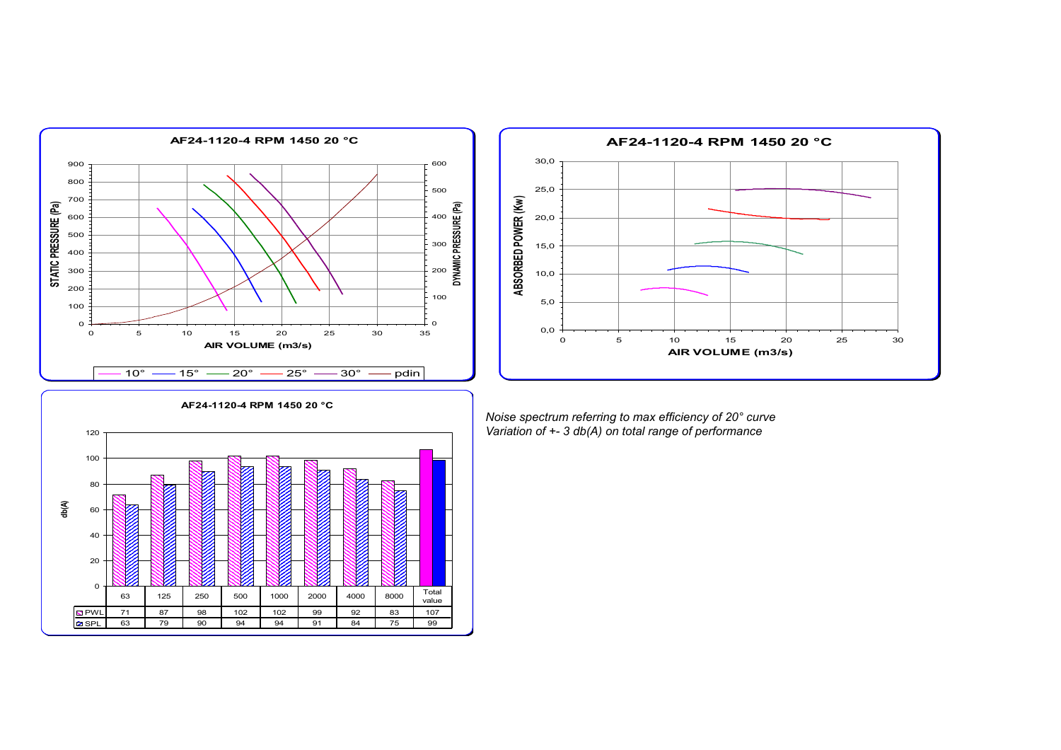



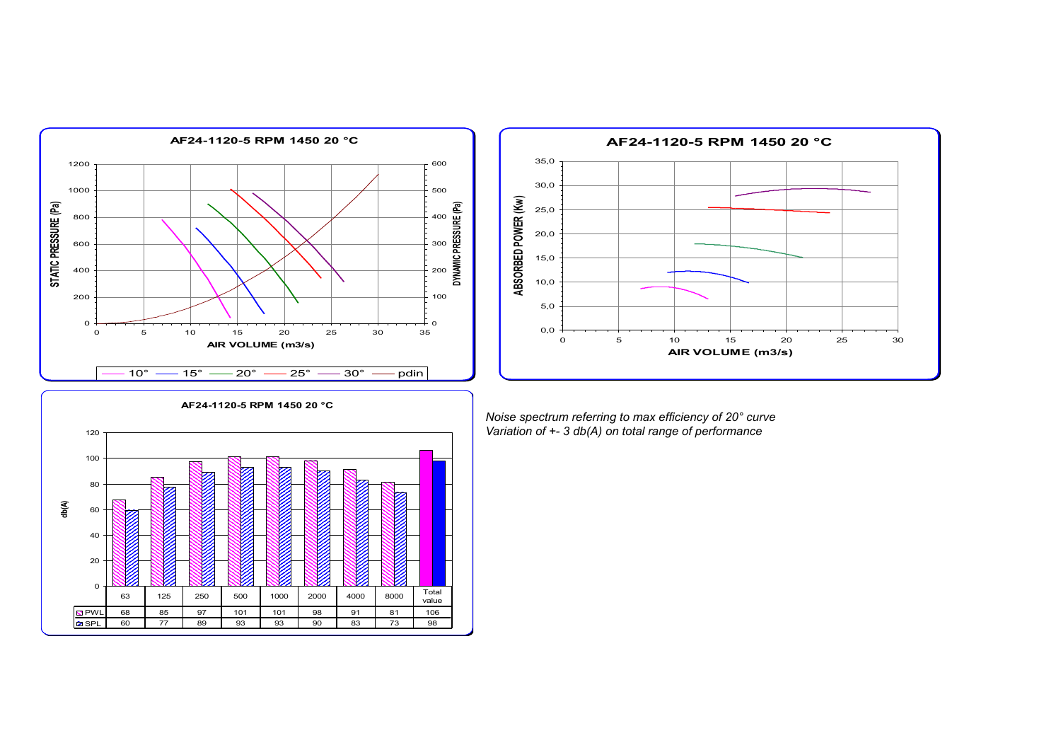



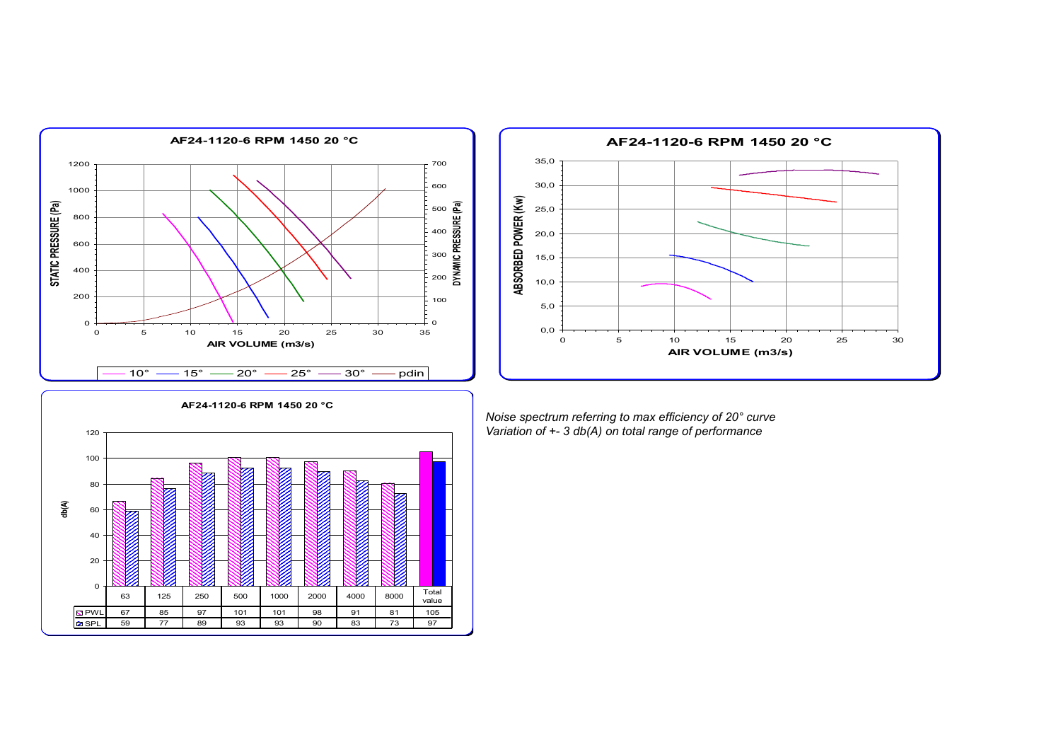



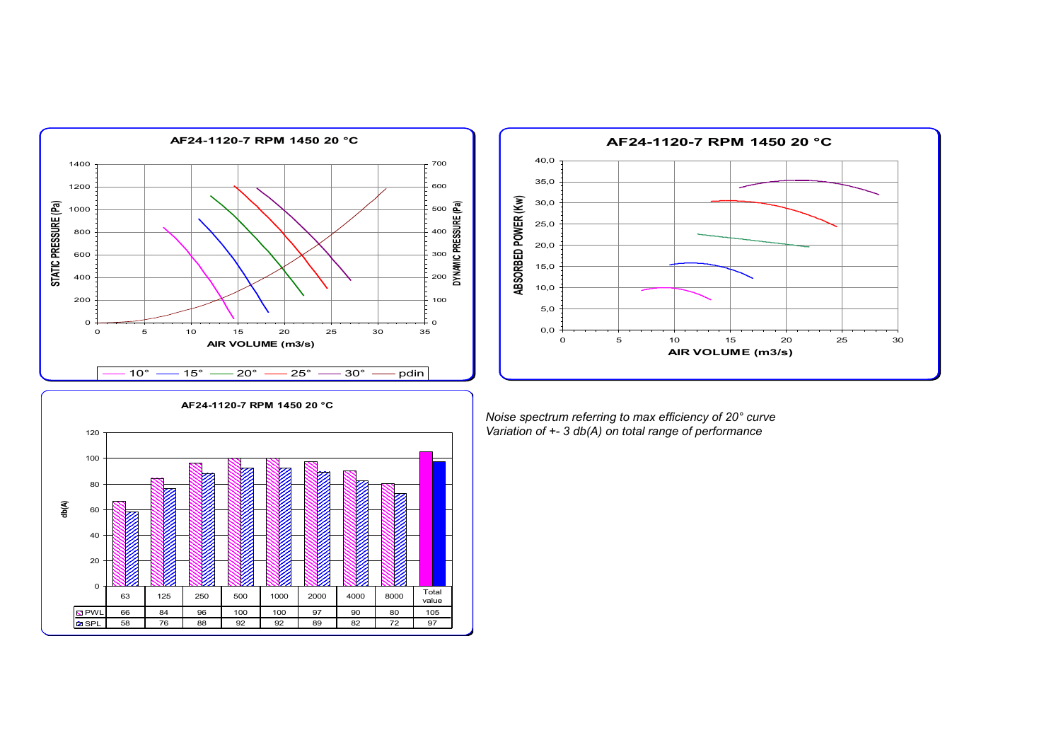